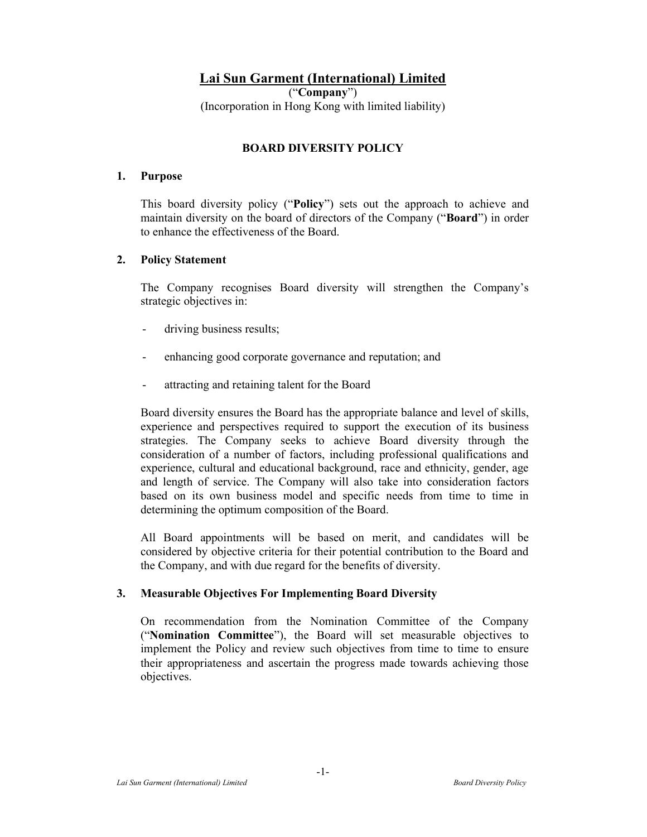# Lai Sun Garment (International) Limited

("Company") (Incorporation in Hong Kong with limited liability)

# BOARD DIVERSITY POLICY

#### 1. Purpose

This board diversity policy ("Policy") sets out the approach to achieve and maintain diversity on the board of directors of the Company ("Board") in order to enhance the effectiveness of the Board.

#### 2. Policy Statement

The Company recognises Board diversity will strengthen the Company's strategic objectives in:

- driving business results;
- enhancing good corporate governance and reputation; and
- attracting and retaining talent for the Board

Board diversity ensures the Board has the appropriate balance and level of skills, experience and perspectives required to support the execution of its business strategies. The Company seeks to achieve Board diversity through the consideration of a number of factors, including professional qualifications and experience, cultural and educational background, race and ethnicity, gender, age and length of service. The Company will also take into consideration factors based on its own business model and specific needs from time to time in determining the optimum composition of the Board.

All Board appointments will be based on merit, and candidates will be considered by objective criteria for their potential contribution to the Board and the Company, and with due regard for the benefits of diversity.

## 3. Measurable Objectives For Implementing Board Diversity

On recommendation from the Nomination Committee of the Company ("Nomination Committee"), the Board will set measurable objectives to implement the Policy and review such objectives from time to time to ensure their appropriateness and ascertain the progress made towards achieving those objectives.